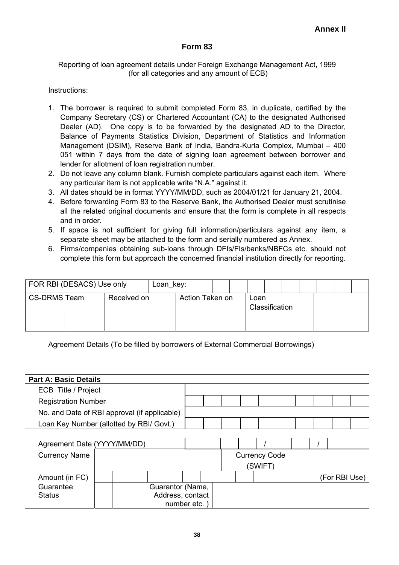## **Form 83**

## Reporting of loan agreement details under Foreign Exchange Management Act, 1999 (for all categories and any amount of ECB)

## Instructions:

- 1. The borrower is required to submit completed Form 83, in duplicate, certified by the Company Secretary (CS) or Chartered Accountant (CA) to the designated Authorised Dealer (AD). One copy is to be forwarded by the designated AD to the Director, Balance of Payments Statistics Division, Department of Statistics and Information Management (DSIM), Reserve Bank of India, Bandra-Kurla Complex, Mumbai – 400 051 within 7 days from the date of signing loan agreement between borrower and lender for allotment of loan registration number.
- 2. Do not leave any column blank. Furnish complete particulars against each item. Where any particular item is not applicable write "N.A." against it.
- 3. All dates should be in format YYYY/MM/DD, such as 2004/01/21 for January 21, 2004.
- 4. Before forwarding Form 83 to the Reserve Bank, the Authorised Dealer must scrutinise all the related original documents and ensure that the form is complete in all respects and in order.
- 5. If space is not sufficient for giving full information/particulars against any item, a separate sheet may be attached to the form and serially numbered as Annex.
- 6. Firms/companies obtaining sub-loans through DFIs/FIs/banks/NBFCs etc. should not complete this form but approach the concerned financial institution directly for reporting.

| FOR RBI (DESACS) Use only |             | Loan_key: |                                           |  |  |  |  |  |  |  |
|---------------------------|-------------|-----------|-------------------------------------------|--|--|--|--|--|--|--|
| <b>CS-DRMS Team</b>       | Received on |           | Action Taken on<br>Loan<br>Classification |  |  |  |  |  |  |  |
|                           |             |           |                                           |  |  |  |  |  |  |  |

Agreement Details (To be filled by borrowers of External Commercial Borrowings)

| <b>Part A: Basic Details</b>                 |                                          |  |  |  |  |                  |  |  |                      |         |  |  |               |
|----------------------------------------------|------------------------------------------|--|--|--|--|------------------|--|--|----------------------|---------|--|--|---------------|
|                                              | ECB Title / Project                      |  |  |  |  |                  |  |  |                      |         |  |  |               |
| <b>Registration Number</b>                   |                                          |  |  |  |  |                  |  |  |                      |         |  |  |               |
| No. and Date of RBI approval (if applicable) |                                          |  |  |  |  |                  |  |  |                      |         |  |  |               |
|                                              | Loan Key Number (allotted by RBI/ Govt.) |  |  |  |  |                  |  |  |                      |         |  |  |               |
|                                              |                                          |  |  |  |  |                  |  |  |                      |         |  |  |               |
| Agreement Date (YYYY/MM/DD)                  |                                          |  |  |  |  |                  |  |  |                      |         |  |  |               |
| <b>Currency Name</b>                         |                                          |  |  |  |  |                  |  |  | <b>Currency Code</b> |         |  |  |               |
|                                              |                                          |  |  |  |  |                  |  |  |                      | (SWIFT) |  |  |               |
| Amount (in FC)                               |                                          |  |  |  |  |                  |  |  |                      |         |  |  | (For RBI Use) |
| Guarantee                                    |                                          |  |  |  |  | Guarantor (Name, |  |  |                      |         |  |  |               |
| <b>Status</b>                                |                                          |  |  |  |  | Address, contact |  |  |                      |         |  |  |               |
|                                              |                                          |  |  |  |  | number etc.      |  |  |                      |         |  |  |               |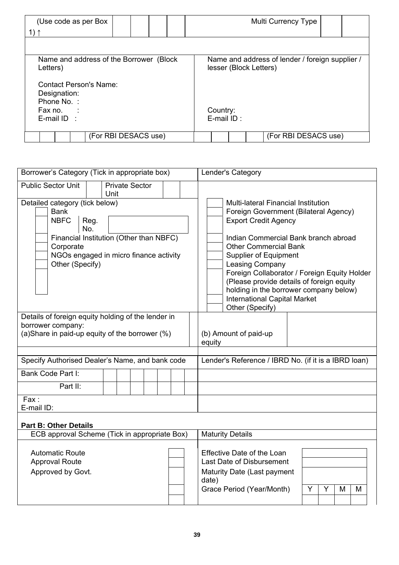| (Use code as per Box<br>1) 1                                                                         |                      | Multi Currency Type                                                       |  |  |  |  |  |
|------------------------------------------------------------------------------------------------------|----------------------|---------------------------------------------------------------------------|--|--|--|--|--|
|                                                                                                      |                      |                                                                           |  |  |  |  |  |
| Name and address of the Borrower (Block)<br>Letters)                                                 |                      | Name and address of lender / foreign supplier /<br>lesser (Block Letters) |  |  |  |  |  |
| <b>Contact Person's Name:</b><br>Designation:<br>Phone No.:<br>Fax no. $\therefore$<br>E-mail $ID$ : |                      | Country:<br>E-mail ID:                                                    |  |  |  |  |  |
|                                                                                                      | (For RBI DESACS use) | (For RBI DESACS use)                                                      |  |  |  |  |  |

| Borrower's Category (Tick in appropriate box)                                                                                                                                                    | Lender's Category                                                                                                                                                                                                                                                                                                                                                                                                                                     |  |  |  |  |  |
|--------------------------------------------------------------------------------------------------------------------------------------------------------------------------------------------------|-------------------------------------------------------------------------------------------------------------------------------------------------------------------------------------------------------------------------------------------------------------------------------------------------------------------------------------------------------------------------------------------------------------------------------------------------------|--|--|--|--|--|
| <b>Public Sector Unit</b><br><b>Private Sector</b><br>Unit                                                                                                                                       |                                                                                                                                                                                                                                                                                                                                                                                                                                                       |  |  |  |  |  |
| Detailed category (tick below)<br><b>Bank</b><br><b>NBFC</b><br>Reg.<br>No.<br>Financial Institution (Other than NBFC)<br>Corporate<br>NGOs engaged in micro finance activity<br>Other (Specify) | <b>Multi-lateral Financial Institution</b><br>Foreign Government (Bilateral Agency)<br><b>Export Credit Agency</b><br>Indian Commercial Bank branch abroad<br><b>Other Commercial Bank</b><br><b>Supplier of Equipment</b><br><b>Leasing Company</b><br>Foreign Collaborator / Foreign Equity Holder<br>(Please provide details of foreign equity<br>holding in the borrower company below)<br><b>International Capital Market</b><br>Other (Specify) |  |  |  |  |  |
| Details of foreign equity holding of the lender in<br>borrower company:<br>(a) Share in paid-up equity of the borrower (%)                                                                       | (b) Amount of paid-up<br>equity                                                                                                                                                                                                                                                                                                                                                                                                                       |  |  |  |  |  |
| Specify Authorised Dealer's Name, and bank code                                                                                                                                                  | Lender's Reference / IBRD No. (if it is a IBRD loan)                                                                                                                                                                                                                                                                                                                                                                                                  |  |  |  |  |  |
| Bank Code Part I:                                                                                                                                                                                |                                                                                                                                                                                                                                                                                                                                                                                                                                                       |  |  |  |  |  |
| Part II:                                                                                                                                                                                         |                                                                                                                                                                                                                                                                                                                                                                                                                                                       |  |  |  |  |  |
| Fax:<br>E-mail ID:                                                                                                                                                                               |                                                                                                                                                                                                                                                                                                                                                                                                                                                       |  |  |  |  |  |
| <b>Part B: Other Details</b><br>ECB approval Scheme (Tick in appropriate Box)                                                                                                                    | <b>Maturity Details</b>                                                                                                                                                                                                                                                                                                                                                                                                                               |  |  |  |  |  |
| <b>Automatic Route</b><br><b>Approval Route</b><br>Approved by Govt.                                                                                                                             | Effective Date of the Loan<br>Last Date of Disbursement<br>Maturity Date (Last payment<br>date)<br>Grace Period (Year/Month)<br>Y<br>Y<br>M<br>М                                                                                                                                                                                                                                                                                                      |  |  |  |  |  |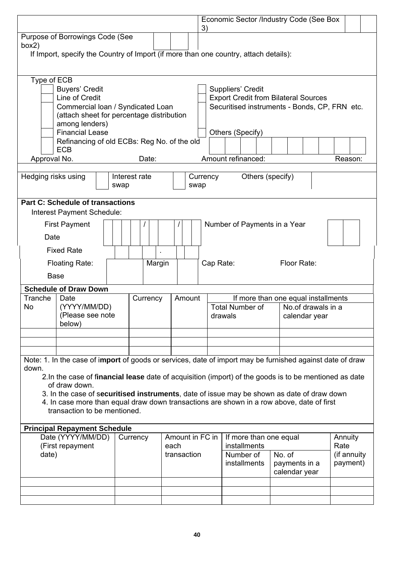|                                                                                                                                                                                                                                                                   |                       |          |             |        |                 |                                                                                           |                  | Economic Sector /Industry Code (See Box                                                      |                    |                         |
|-------------------------------------------------------------------------------------------------------------------------------------------------------------------------------------------------------------------------------------------------------------------|-----------------------|----------|-------------|--------|-----------------|-------------------------------------------------------------------------------------------|------------------|----------------------------------------------------------------------------------------------|--------------------|-------------------------|
| Purpose of Borrowings Code (See<br>box2)                                                                                                                                                                                                                          |                       |          |             |        | 3)              |                                                                                           |                  |                                                                                              |                    |                         |
| If Import, specify the Country of Import (if more than one country, attach details):                                                                                                                                                                              |                       |          |             |        |                 |                                                                                           |                  |                                                                                              |                    |                         |
| Type of ECB<br><b>Buyers' Credit</b><br>Line of Credit<br>Commercial Ioan / Syndicated Loan<br>(attach sheet for percentage distribution<br>among lenders)<br><b>Financial Lease</b><br>Refinancing of old ECBs: Reg No. of the old<br><b>ECB</b><br>Approval No. |                       | Date:    |             |        |                 | Suppliers' Credit<br>Others (Specify)<br>Amount refinanced:                               |                  | <b>Export Credit from Bilateral Sources</b><br>Securitised instruments - Bonds, CP, FRN etc. |                    | Reason:                 |
|                                                                                                                                                                                                                                                                   |                       |          |             |        |                 |                                                                                           |                  |                                                                                              |                    |                         |
| Hedging risks using                                                                                                                                                                                                                                               | Interest rate<br>swap |          |             | swap   | Currency        |                                                                                           | Others (specify) |                                                                                              |                    |                         |
| <b>Part C: Schedule of transactions</b><br>Interest Payment Schedule:                                                                                                                                                                                             |                       |          |             |        |                 |                                                                                           |                  |                                                                                              |                    |                         |
| <b>First Payment</b>                                                                                                                                                                                                                                              |                       |          |             |        |                 | Number of Payments in a Year                                                              |                  |                                                                                              |                    |                         |
| Date                                                                                                                                                                                                                                                              |                       |          |             |        |                 |                                                                                           |                  |                                                                                              |                    |                         |
| <b>Fixed Rate</b>                                                                                                                                                                                                                                                 |                       |          |             |        |                 |                                                                                           |                  |                                                                                              |                    |                         |
| <b>Floating Rate:</b>                                                                                                                                                                                                                                             |                       | Margin   |             |        | Cap Rate:       |                                                                                           |                  | Floor Rate:                                                                                  |                    |                         |
| <b>Base</b>                                                                                                                                                                                                                                                       |                       |          |             |        |                 |                                                                                           |                  |                                                                                              |                    |                         |
| <b>Schedule of Draw Down</b>                                                                                                                                                                                                                                      |                       |          |             |        |                 |                                                                                           |                  |                                                                                              |                    |                         |
| Tranche<br>Date<br>(YYYY/MM/DD)<br>No<br>(Please see note<br>below)                                                                                                                                                                                               |                       | Currency |             | Amount |                 | If more than one equal installments<br><b>Total Number of</b><br>drawals<br>calendar year |                  |                                                                                              | No.of drawals in a |                         |
|                                                                                                                                                                                                                                                                   |                       |          |             |        |                 |                                                                                           |                  |                                                                                              |                    |                         |
| Note: 1. In the case of import of goods or services, date of import may be furnished against date of draw<br>down.<br>2. In the case of financial lease date of acquisition (import) of the goods is to be mentioned as date                                      |                       |          |             |        |                 |                                                                                           |                  |                                                                                              |                    |                         |
| of draw down.<br>3. In the case of securitised instruments, date of issue may be shown as date of draw down<br>4. In case more than equal draw down transactions are shown in a row above, date of first<br>transaction to be mentioned.                          |                       |          |             |        |                 |                                                                                           |                  |                                                                                              |                    |                         |
| <b>Principal Repayment Schedule</b>                                                                                                                                                                                                                               |                       |          |             |        |                 |                                                                                           |                  |                                                                                              |                    |                         |
| Date (YYYY/MM/DD)<br>(First repayment                                                                                                                                                                                                                             | Currency              |          | each        |        | Amount in FC in | If more than one equal<br>installments                                                    |                  |                                                                                              |                    | Annuity<br>Rate         |
| date)                                                                                                                                                                                                                                                             |                       |          | transaction |        |                 | Number of<br>installments                                                                 |                  | No. of<br>payments in a<br>calendar year                                                     |                    | (if annuity<br>payment) |
|                                                                                                                                                                                                                                                                   |                       |          |             |        |                 |                                                                                           |                  |                                                                                              |                    |                         |
|                                                                                                                                                                                                                                                                   |                       |          |             |        |                 |                                                                                           |                  |                                                                                              |                    |                         |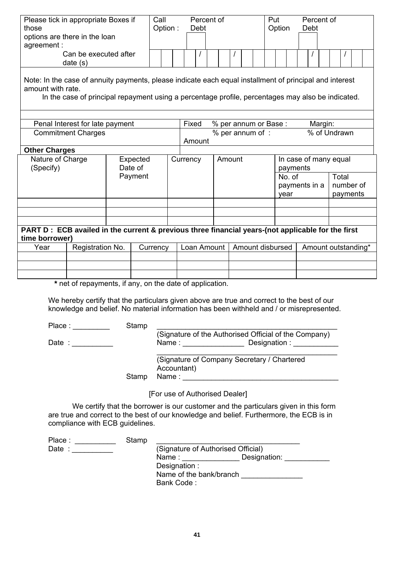| Please tick in appropriate Boxes if<br>those<br>options are there in the loan<br>agreement :<br>Can be executed after<br>date(s)                                                                                                  |                     | Call<br>Option: | Debt        | Percent of                                 |  |  |  | Put<br>Option                     |        | Percent of<br>Debt |                                |
|-----------------------------------------------------------------------------------------------------------------------------------------------------------------------------------------------------------------------------------|---------------------|-----------------|-------------|--------------------------------------------|--|--|--|-----------------------------------|--------|--------------------|--------------------------------|
| Note: In the case of annuity payments, please indicate each equal installment of principal and interest<br>amount with rate.<br>In the case of principal repayment using a percentage profile, percentages may also be indicated. |                     |                 |             |                                            |  |  |  |                                   |        |                    |                                |
| Penal Interest for late payment                                                                                                                                                                                                   |                     |                 | Fixed       |                                            |  |  |  | % per annum or Base:              |        | Margin:            |                                |
| <b>Commitment Charges</b>                                                                                                                                                                                                         |                     |                 |             | % of Undrawn<br>% per annum of :<br>Amount |  |  |  |                                   |        |                    |                                |
| <b>Other Charges</b>                                                                                                                                                                                                              |                     |                 |             |                                            |  |  |  |                                   |        |                    |                                |
| Nature of Charge<br>(Specify)                                                                                                                                                                                                     | Expected<br>Date of |                 | Currency    | Amount                                     |  |  |  | In case of many equal<br>payments |        |                    |                                |
|                                                                                                                                                                                                                                   | Payment             |                 |             |                                            |  |  |  | year                              | No. of | payments in a      | Total<br>number of<br>payments |
|                                                                                                                                                                                                                                   |                     |                 |             |                                            |  |  |  |                                   |        |                    |                                |
|                                                                                                                                                                                                                                   |                     |                 |             |                                            |  |  |  |                                   |        |                    |                                |
|                                                                                                                                                                                                                                   |                     |                 |             |                                            |  |  |  |                                   |        |                    |                                |
| PART D : ECB availed in the current & previous three financial years-(not applicable for the first<br>time borrower)                                                                                                              |                     |                 |             |                                            |  |  |  |                                   |        |                    |                                |
| Registration No.<br>Year                                                                                                                                                                                                          |                     | Currency        | Loan Amount |                                            |  |  |  | Amount disbursed                  |        |                    | Amount outstanding*            |
|                                                                                                                                                                                                                                   |                     |                 |             |                                            |  |  |  |                                   |        |                    |                                |
|                                                                                                                                                                                                                                   |                     |                 |             |                                            |  |  |  |                                   |        |                    |                                |
| * net of repayments if any on the date of application                                                                                                                                                                             |                     |                 |             |                                            |  |  |  |                                   |        |                    |                                |

net of repayments, if any, on the date of application.

We hereby certify that the particulars given above are true and correct to the best of our knowledge and belief. No material information has been withheld and / or misrepresented.

| Place: | Stamp |                                                                                  |
|--------|-------|----------------------------------------------------------------------------------|
| Date:  |       | (Signature of the Authorised Official of the Company)<br>Designation :<br>Name : |
|        | Stamp | (Signature of Company Secretary / Chartered<br>Accountant)<br>Name :             |

[For use of Authorised Dealer]

We certify that the borrower is our customer and the particulars given in this form are true and correct to the best of our knowledge and belief. Furthermore, the ECB is in compliance with ECB guidelines.

| Place: | Stamp |                         |                                    |  |
|--------|-------|-------------------------|------------------------------------|--|
| Date : |       |                         | (Signature of Authorised Official) |  |
|        |       | Name:                   | Designation:                       |  |
|        |       | Designation :           |                                    |  |
|        |       | Name of the bank/branch |                                    |  |
|        |       | Bank Code:              |                                    |  |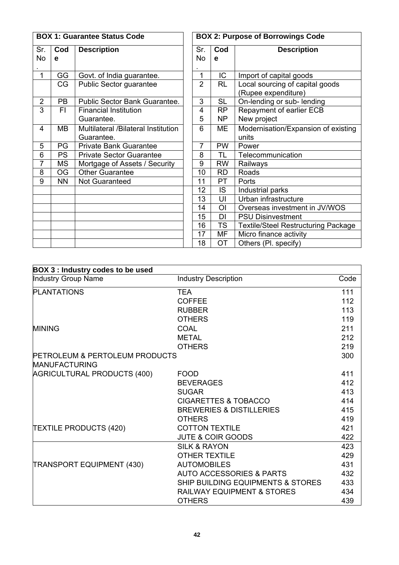|                |           | <b>BOX 1: Guarantee Status Code</b> | <b>BOX 2: Purpose of Borrowings Code</b> |                |                                            |  |  |  |
|----------------|-----------|-------------------------------------|------------------------------------------|----------------|--------------------------------------------|--|--|--|
| Sr.            | Cod       | <b>Description</b>                  | Sr.                                      | Cod            | <b>Description</b>                         |  |  |  |
| No             | e         |                                     | No                                       | e              |                                            |  |  |  |
|                |           |                                     |                                          |                |                                            |  |  |  |
| 1              | GG        | Govt. of India guarantee.           | 1                                        | IC             | Import of capital goods                    |  |  |  |
|                | CG        | Public Sector guarantee             | $\overline{2}$                           | <b>RL</b>      | Local sourcing of capital goods            |  |  |  |
|                |           |                                     |                                          |                | (Rupee expenditure)                        |  |  |  |
| $\overline{2}$ | PB        | Public Sector Bank Guarantee.       | 3                                        | <b>SL</b>      | On-lending or sub- lending                 |  |  |  |
| 3              | FI.       | <b>Financial Institution</b>        | 4                                        | RP             | Repayment of earlier ECB                   |  |  |  |
|                |           | Guarantee.                          | 5                                        | NP             | New project                                |  |  |  |
| 4              | MВ        | Multilateral /Bilateral Institution | 6                                        | ME             | Modernisation/Expansion of existing        |  |  |  |
|                |           | Guarantee.                          |                                          |                | units                                      |  |  |  |
| 5              | PG        | <b>Private Bank Guarantee</b>       | 7                                        | <b>PW</b>      | Power                                      |  |  |  |
| 6              | <b>PS</b> | <b>Private Sector Guarantee</b>     | 8                                        | TL             | Telecommunication                          |  |  |  |
| 7              | <b>MS</b> | Mortgage of Assets / Security       | 9                                        | <b>RW</b>      | Railways                                   |  |  |  |
| 8              | <b>OG</b> | <b>Other Guarantee</b>              | 10                                       | <b>RD</b>      | Roads                                      |  |  |  |
| 9              | <b>NN</b> | Not Guaranteed                      | 11                                       | PT             | Ports                                      |  |  |  |
|                |           |                                     | 12                                       | <b>IS</b>      | Industrial parks                           |  |  |  |
|                |           |                                     | 13                                       | UI             | Urban infrastructure                       |  |  |  |
|                |           |                                     | 14                                       | O <sub>l</sub> | Overseas investment in JV/WOS              |  |  |  |
|                |           |                                     | 15                                       | <b>DI</b>      | <b>PSU Disinvestment</b>                   |  |  |  |
|                |           |                                     | 16                                       | <b>TS</b>      | <b>Textile/Steel Restructuring Package</b> |  |  |  |
|                |           |                                     | 17                                       | MF             | Micro finance activity                     |  |  |  |
|                |           |                                     | 18                                       | <b>OT</b>      | Others (Pl. specify)                       |  |  |  |

| <b>BOX 3: Industry codes to be used</b>                           |                                       |      |
|-------------------------------------------------------------------|---------------------------------------|------|
| Industry Group Name                                               | <b>Industry Description</b>           | Code |
| <b>PLANTATIONS</b>                                                | <b>TEA</b>                            | 111  |
|                                                                   | <b>COFFEE</b>                         | 112  |
|                                                                   | <b>RUBBER</b>                         | 113  |
|                                                                   | <b>OTHERS</b>                         | 119  |
| <b>MINING</b>                                                     | <b>COAL</b>                           | 211  |
|                                                                   | <b>METAL</b>                          | 212  |
|                                                                   | <b>OTHERS</b>                         | 219  |
| <b>PETROLEUM &amp; PERTOLEUM PRODUCTS</b><br><b>MANUFACTURING</b> |                                       | 300  |
| AGRICULTURAL PRODUCTS (400)                                       | <b>FOOD</b>                           | 411  |
|                                                                   | <b>BEVERAGES</b>                      | 412  |
|                                                                   | <b>SUGAR</b>                          | 413  |
|                                                                   | <b>CIGARETTES &amp; TOBACCO</b>       | 414  |
|                                                                   | <b>BREWERIES &amp; DISTILLERIES</b>   | 415  |
|                                                                   | <b>OTHERS</b>                         | 419  |
| <b>TEXTILE PRODUCTS (420)</b>                                     | <b>COTTON TEXTILE</b>                 | 421  |
|                                                                   | <b>JUTE &amp; COIR GOODS</b>          | 422  |
|                                                                   | <b>SILK &amp; RAYON</b>               | 423  |
|                                                                   | <b>OTHER TEXTILE</b>                  | 429  |
| TRANSPORT EQUIPMENT (430)                                         | <b>AUTOMOBILES</b>                    | 431  |
|                                                                   | <b>AUTO ACCESSORIES &amp; PARTS</b>   | 432  |
|                                                                   | SHIP BUILDING EQUIPMENTS & STORES     | 433  |
|                                                                   | <b>RAILWAY EQUIPMENT &amp; STORES</b> | 434  |
|                                                                   | <b>OTHERS</b>                         | 439  |